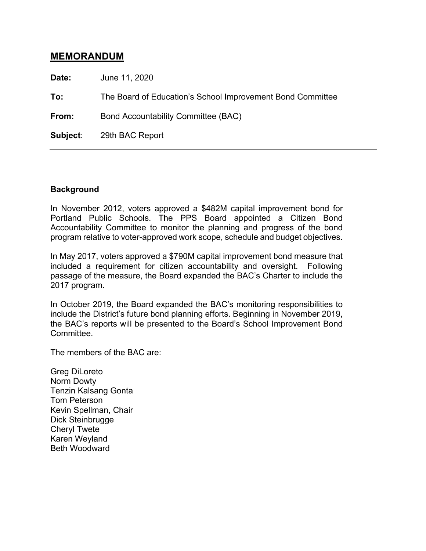# **MEMORANDUM**

**Date:** June 11, 2020

**To:** The Board of Education's School Improvement Bond Committee

From: Bond Accountability Committee (BAC)

**Subject**: 29th BAC Report

#### **Background**

In November 2012, voters approved a \$482M capital improvement bond for Portland Public Schools. The PPS Board appointed a Citizen Bond Accountability Committee to monitor the planning and progress of the bond program relative to voter-approved work scope, schedule and budget objectives.

In May 2017, voters approved a \$790M capital improvement bond measure that included a requirement for citizen accountability and oversight. Following passage of the measure, the Board expanded the BAC's Charter to include the 2017 program.

In October 2019, the Board expanded the BAC's monitoring responsibilities to include the District's future bond planning efforts. Beginning in November 2019, the BAC's reports will be presented to the Board's School Improvement Bond Committee.

The members of the BAC are:

Greg DiLoreto Norm Dowty Tenzin Kalsang Gonta Tom Peterson Kevin Spellman, Chair Dick Steinbrugge Cheryl Twete Karen Weyland Beth Woodward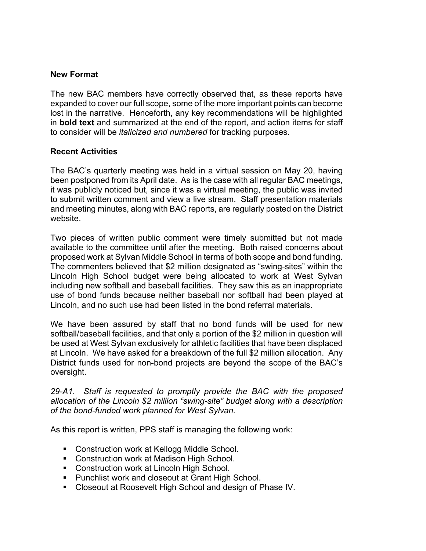## **New Format**

The new BAC members have correctly observed that, as these reports have expanded to cover our full scope, some of the more important points can become lost in the narrative. Henceforth, any key recommendations will be highlighted in **bold text** and summarized at the end of the report, and action items for staff to consider will be *italicized and numbered* for tracking purposes.

#### **Recent Activities**

The BAC's quarterly meeting was held in a virtual session on May 20, having been postponed from its April date. As is the case with all regular BAC meetings, it was publicly noticed but, since it was a virtual meeting, the public was invited to submit written comment and view a live stream. Staff presentation materials and meeting minutes, along with BAC reports, are regularly posted on the District website.

Two pieces of written public comment were timely submitted but not made available to the committee until after the meeting. Both raised concerns about proposed work at Sylvan Middle School in terms of both scope and bond funding. The commenters believed that \$2 million designated as "swing-sites" within the Lincoln High School budget were being allocated to work at West Sylvan including new softball and baseball facilities. They saw this as an inappropriate use of bond funds because neither baseball nor softball had been played at Lincoln, and no such use had been listed in the bond referral materials.

We have been assured by staff that no bond funds will be used for new softball/baseball facilities, and that only a portion of the \$2 million in question will be used at West Sylvan exclusively for athletic facilities that have been displaced at Lincoln. We have asked for a breakdown of the full \$2 million allocation. Any District funds used for non-bond projects are beyond the scope of the BAC's oversight.

*29-A1. Staff is requested to promptly provide the BAC with the proposed allocation of the Lincoln \$2 million "swing-site" budget along with a description of the bond-funded work planned for West Sylvan.*

As this report is written, PPS staff is managing the following work:

- Construction work at Kellogg Middle School.
- Construction work at Madison High School.
- Construction work at Lincoln High School.
- Punchlist work and closeout at Grant High School.
- Closeout at Roosevelt High School and design of Phase IV.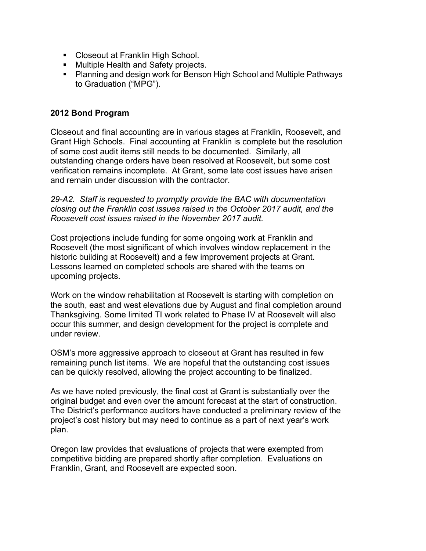- Closeout at Franklin High School.
- Multiple Health and Safety projects.
- Planning and design work for Benson High School and Multiple Pathways to Graduation ("MPG").

## **2012 Bond Program**

Closeout and final accounting are in various stages at Franklin, Roosevelt, and Grant High Schools. Final accounting at Franklin is complete but the resolution of some cost audit items still needs to be documented. Similarly, all outstanding change orders have been resolved at Roosevelt, but some cost verification remains incomplete. At Grant, some late cost issues have arisen and remain under discussion with the contractor.

*29-A2. Staff is requested to promptly provide the BAC with documentation closing out the Franklin cost issues raised in the October 2017 audit, and the Roosevelt cost issues raised in the November 2017 audit.*

Cost projections include funding for some ongoing work at Franklin and Roosevelt (the most significant of which involves window replacement in the historic building at Roosevelt) and a few improvement projects at Grant. Lessons learned on completed schools are shared with the teams on upcoming projects.

Work on the window rehabilitation at Roosevelt is starting with completion on the south, east and west elevations due by August and final completion around Thanksgiving. Some limited TI work related to Phase IV at Roosevelt will also occur this summer, and design development for the project is complete and under review.

OSM's more aggressive approach to closeout at Grant has resulted in few remaining punch list items. We are hopeful that the outstanding cost issues can be quickly resolved, allowing the project accounting to be finalized.

As we have noted previously, the final cost at Grant is substantially over the original budget and even over the amount forecast at the start of construction. The District's performance auditors have conducted a preliminary review of the project's cost history but may need to continue as a part of next year's work plan.

Oregon law provides that evaluations of projects that were exempted from competitive bidding are prepared shortly after completion. Evaluations on Franklin, Grant, and Roosevelt are expected soon.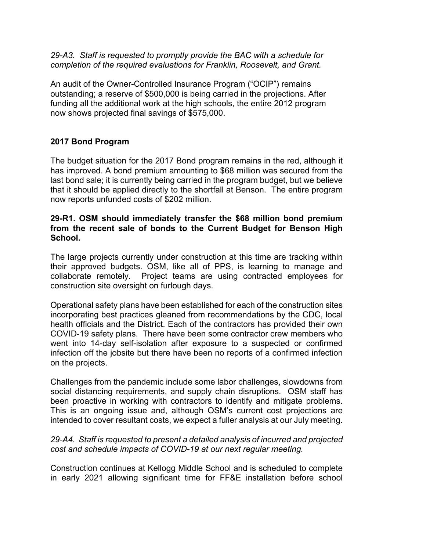*29-A3. Staff is requested to promptly provide the BAC with a schedule for completion of the required evaluations for Franklin, Roosevelt, and Grant.*

An audit of the Owner-Controlled Insurance Program ("OCIP") remains outstanding; a reserve of \$500,000 is being carried in the projections. After funding all the additional work at the high schools, the entire 2012 program now shows projected final savings of \$575,000.

## **2017 Bond Program**

The budget situation for the 2017 Bond program remains in the red, although it has improved. A bond premium amounting to \$68 million was secured from the last bond sale; it is currently being carried in the program budget, but we believe that it should be applied directly to the shortfall at Benson. The entire program now reports unfunded costs of \$202 million.

#### **29-R1. OSM should immediately transfer the \$68 million bond premium from the recent sale of bonds to the Current Budget for Benson High School.**

The large projects currently under construction at this time are tracking within their approved budgets. OSM, like all of PPS, is learning to manage and collaborate remotely. Project teams are using contracted employees for construction site oversight on furlough days.

Operational safety plans have been established for each of the construction sites incorporating best practices gleaned from recommendations by the CDC, local health officials and the District. Each of the contractors has provided their own COVID-19 safety plans. There have been some contractor crew members who went into 14-day self-isolation after exposure to a suspected or confirmed infection off the jobsite but there have been no reports of a confirmed infection on the projects.

Challenges from the pandemic include some labor challenges, slowdowns from social distancing requirements, and supply chain disruptions. OSM staff has been proactive in working with contractors to identify and mitigate problems. This is an ongoing issue and, although OSM's current cost projections are intended to cover resultant costs, we expect a fuller analysis at our July meeting.

## *29-A4. Staff is requested to present a detailed analysis of incurred and projected cost and schedule impacts of COVID-19 at our next regular meeting.*

Construction continues at Kellogg Middle School and is scheduled to complete in early 2021 allowing significant time for FF&E installation before school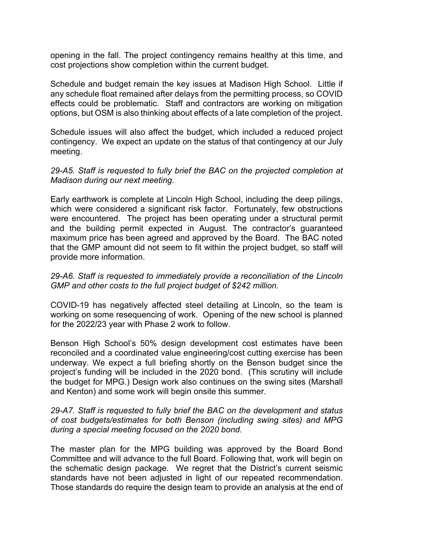opening in the fall. The project contingency remains healthy at this time, and cost projections show completion within the current budget.

Schedule and budget remain the key issues at Madison High School. Little if any schedule float remained after delays from the permitting process, so COVID effects could be problematic. Staff and contractors are working on mitigation options, but OSM is also thinking about effects of a late completion of the project.

Schedule issues will also affect the budget, which included a reduced project contingency. We expect an update on the status of that contingency at our July meeting.

*29-A5. Staff is requested to fully brief the BAC on the projected completion at Madison during our next meeting.* 

Early earthwork is complete at Lincoln High School, including the deep pilings, which were considered a significant risk factor. Fortunately, few obstructions were encountered. The project has been operating under a structural permit and the building permit expected in August. The contractor's guaranteed maximum price has been agreed and approved by the Board. The BAC noted that the GMP amount did not seem to fit within the project budget, so staff will provide more information.

## *29-A6. Staff is requested to immediately provide a reconciliation of the Lincoln GMP and other costs to the full project budget of \$242 million.*

COVID-19 has negatively affected steel detailing at Lincoln, so the team is working on some resequencing of work. Opening of the new school is planned for the 2022/23 year with Phase 2 work to follow.

Benson High School's 50% design development cost estimates have been reconciled and a coordinated value engineering/cost cutting exercise has been underway. We expect a full briefing shortly on the Benson budget since the project's funding will be included in the 2020 bond. (This scrutiny will include the budget for MPG.) Design work also continues on the swing sites (Marshall and Kenton) and some work will begin onsite this summer.

#### *29-A7. Staff is requested to fully brief the BAC on the development and status of cost budgets/estimates for both Benson (including swing sites) and MPG during a special meeting focused on the 2020 bond.*

The master plan for the MPG building was approved by the Board Bond Committee and will advance to the full Board. Following that, work will begin on the schematic design package. We regret that the District's current seismic standards have not been adjusted in light of our repeated recommendation. Those standards do require the design team to provide an analysis at the end of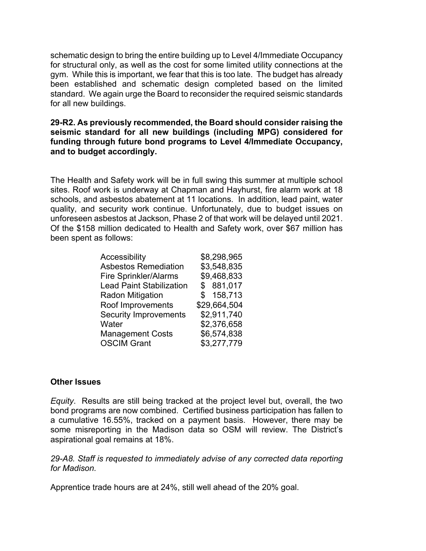schematic design to bring the entire building up to Level 4/Immediate Occupancy for structural only, as well as the cost for some limited utility connections at the gym. While this is important, we fear that this is too late. The budget has already been established and schematic design completed based on the limited standard. We again urge the Board to reconsider the required seismic standards for all new buildings.

## **29-R2. As previously recommended, the Board should consider raising the seismic standard for all new buildings (including MPG) considered for funding through future bond programs to Level 4/Immediate Occupancy, and to budget accordingly.**

The Health and Safety work will be in full swing this summer at multiple school sites. Roof work is underway at Chapman and Hayhurst, fire alarm work at 18 schools, and asbestos abatement at 11 locations. In addition, lead paint, water quality, and security work continue. Unfortunately, due to budget issues on unforeseen asbestos at Jackson, Phase 2 of that work will be delayed until 2021. Of the \$158 million dedicated to Health and Safety work, over \$67 million has been spent as follows:

| Accessibility                   | \$8,298,965  |
|---------------------------------|--------------|
| <b>Asbestos Remediation</b>     | \$3,548,835  |
| <b>Fire Sprinkler/Alarms</b>    | \$9,468,833  |
| <b>Lead Paint Stabilization</b> | \$881,017    |
| <b>Radon Mitigation</b>         | \$158,713    |
| Roof Improvements               | \$29,664,504 |
| <b>Security Improvements</b>    | \$2,911,740  |
| Water                           | \$2,376,658  |
| <b>Management Costs</b>         | \$6,574,838  |
| <b>OSCIM Grant</b>              | \$3,277,779  |
|                                 |              |

#### **Other Issues**

*Equity*. Results are still being tracked at the project level but, overall, the two bond programs are now combined. Certified business participation has fallen to a cumulative 16.55%, tracked on a payment basis. However, there may be some misreporting in the Madison data so OSM will review. The District's aspirational goal remains at 18%.

*29-A8. Staff is requested to immediately advise of any corrected data reporting for Madison.*

Apprentice trade hours are at 24%, still well ahead of the 20% goal.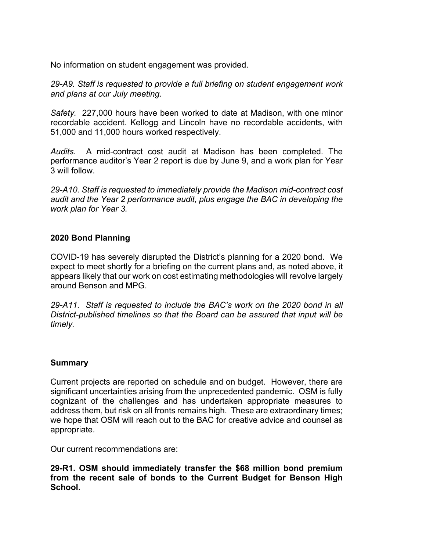No information on student engagement was provided.

*29-A9. Staff is requested to provide a full briefing on student engagement work and plans at our July meeting.*

*Safety.* 227,000 hours have been worked to date at Madison, with one minor recordable accident. Kellogg and Lincoln have no recordable accidents, with 51,000 and 11,000 hours worked respectively.

*Audits.* A mid-contract cost audit at Madison has been completed. The performance auditor's Year 2 report is due by June 9, and a work plan for Year 3 will follow.

*29-A10. Staff is requested to immediately provide the Madison mid-contract cost audit and the Year 2 performance audit, plus engage the BAC in developing the work plan for Year 3.*

## **2020 Bond Planning**

COVID-19 has severely disrupted the District's planning for a 2020 bond. We expect to meet shortly for a briefing on the current plans and, as noted above, it appears likely that our work on cost estimating methodologies will revolve largely around Benson and MPG.

*29-A11. Staff is requested to include the BAC's work on the 2020 bond in all District-published timelines so that the Board can be assured that input will be timely.*

## **Summary**

Current projects are reported on schedule and on budget. However, there are significant uncertainties arising from the unprecedented pandemic. OSM is fully cognizant of the challenges and has undertaken appropriate measures to address them, but risk on all fronts remains high. These are extraordinary times; we hope that OSM will reach out to the BAC for creative advice and counsel as appropriate.

Our current recommendations are:

**29-R1. OSM should immediately transfer the \$68 million bond premium from the recent sale of bonds to the Current Budget for Benson High School.**